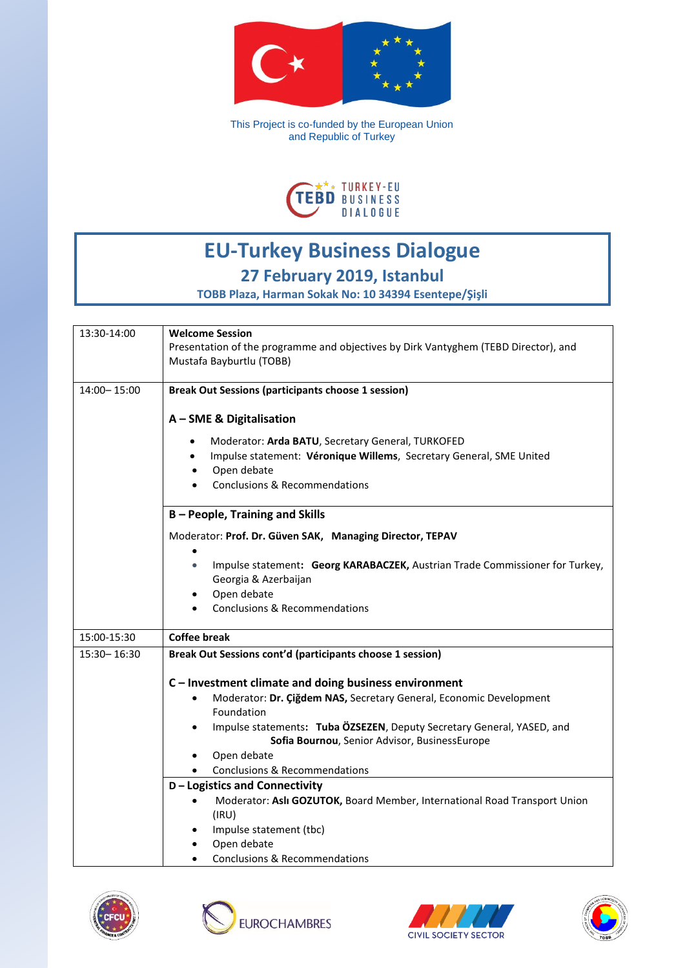

This Project is co-funded by the European Union and Republic of Turkey



## **EU-Turkey Business Dialogue 27 February 2019, Istanbul**

**TOBB Plaza, Harman Sokak No: 10 34394 Esentepe/Şişli**

| 13:30-14:00   | <b>Welcome Session</b>                                                                    |
|---------------|-------------------------------------------------------------------------------------------|
|               | Presentation of the programme and objectives by Dirk Vantyghem (TEBD Director), and       |
|               | Mustafa Bayburtlu (TOBB)                                                                  |
| 14:00-15:00   | <b>Break Out Sessions (participants choose 1 session)</b>                                 |
|               |                                                                                           |
|               | A - SME & Digitalisation                                                                  |
|               | Moderator: Arda BATU, Secretary General, TURKOFED                                         |
|               | Impulse statement: Véronique Willems, Secretary General, SME United                       |
|               | Open debate<br>$\bullet$                                                                  |
|               | <b>Conclusions &amp; Recommendations</b><br>$\bullet$                                     |
|               |                                                                                           |
|               | <b>B-People, Training and Skills</b>                                                      |
|               | Moderator: Prof. Dr. Güven SAK, Managing Director, TEPAV                                  |
|               |                                                                                           |
|               | Impulse statement: Georg KARABACZEK, Austrian Trade Commissioner for Turkey,<br>$\bullet$ |
|               | Georgia & Azerbaijan                                                                      |
|               | Open debate<br>$\bullet$                                                                  |
|               | Conclusions & Recommendations                                                             |
| 15:00-15:30   | <b>Coffee break</b>                                                                       |
| 15:30 - 16:30 | Break Out Sessions cont'd (participants choose 1 session)                                 |
|               |                                                                                           |
|               | C - Investment climate and doing business environment                                     |
|               | Moderator: Dr. Çiğdem NAS, Secretary General, Economic Development<br>$\bullet$           |
|               | Foundation                                                                                |
|               | Impulse statements: Tuba ÖZSEZEN, Deputy Secretary General, YASED, and<br>$\bullet$       |
|               | Sofia Bournou, Senior Advisor, BusinessEurope                                             |
|               | Open debate<br><b>Conclusions &amp; Recommendations</b>                                   |
|               | <b>D-Logistics and Connectivity</b>                                                       |
|               | Moderator: Aslı GOZUTOK, Board Member, International Road Transport Union<br>$\bullet$    |
|               | (IRU)                                                                                     |
|               | Impulse statement (tbc)<br>٠                                                              |
|               | Open debate<br>$\bullet$                                                                  |
|               | Conclusions & Recommendations                                                             |